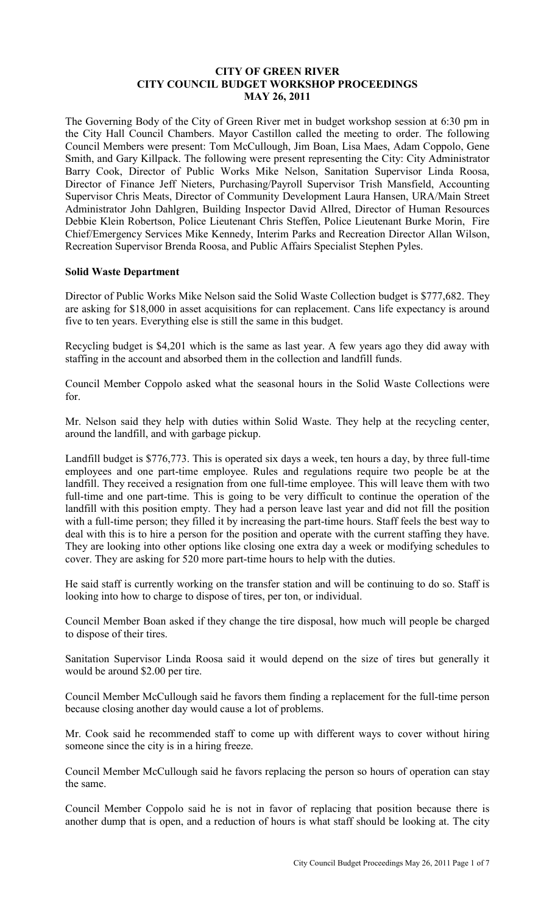## **CITY OF GREEN RIVER CITY COUNCIL BUDGET WORKSHOP PROCEEDINGS MAY 26, 2011**

The Governing Body of the City of Green River met in budget workshop session at 6:30 pm in the City Hall Council Chambers. Mayor Castillon called the meeting to order. The following Council Members were present: Tom McCullough, Jim Boan, Lisa Maes, Adam Coppolo, Gene Smith, and Gary Killpack. The following were present representing the City: City Administrator Barry Cook, Director of Public Works Mike Nelson, Sanitation Supervisor Linda Roosa, Director of Finance Jeff Nieters, Purchasing/Payroll Supervisor Trish Mansfield, Accounting Supervisor Chris Meats, Director of Community Development Laura Hansen, URA/Main Street Administrator John Dahlgren, Building Inspector David Allred, Director of Human Resources Debbie Klein Robertson, Police Lieutenant Chris Steffen, Police Lieutenant Burke Morin, Fire Chief/Emergency Services Mike Kennedy, Interim Parks and Recreation Director Allan Wilson, Recreation Supervisor Brenda Roosa, and Public Affairs Specialist Stephen Pyles.

## **Solid Waste Department**

Director of Public Works Mike Nelson said the Solid Waste Collection budget is \$777,682. They are asking for \$18,000 in asset acquisitions for can replacement. Cans life expectancy is around five to ten years. Everything else is still the same in this budget.

Recycling budget is \$4,201 which is the same as last year. A few years ago they did away with staffing in the account and absorbed them in the collection and landfill funds.

Council Member Coppolo asked what the seasonal hours in the Solid Waste Collections were for.

Mr. Nelson said they help with duties within Solid Waste. They help at the recycling center, around the landfill, and with garbage pickup.

Landfill budget is \$776,773. This is operated six days a week, ten hours a day, by three full-time employees and one part-time employee. Rules and regulations require two people be at the landfill. They received a resignation from one full-time employee. This will leave them with two full-time and one part-time. This is going to be very difficult to continue the operation of the landfill with this position empty. They had a person leave last year and did not fill the position with a full-time person; they filled it by increasing the part-time hours. Staff feels the best way to deal with this is to hire a person for the position and operate with the current staffing they have. They are looking into other options like closing one extra day a week or modifying schedules to cover. They are asking for 520 more part-time hours to help with the duties.

He said staff is currently working on the transfer station and will be continuing to do so. Staff is looking into how to charge to dispose of tires, per ton, or individual.

Council Member Boan asked if they change the tire disposal, how much will people be charged to dispose of their tires.

Sanitation Supervisor Linda Roosa said it would depend on the size of tires but generally it would be around \$2.00 per tire.

Council Member McCullough said he favors them finding a replacement for the full-time person because closing another day would cause a lot of problems.

Mr. Cook said he recommended staff to come up with different ways to cover without hiring someone since the city is in a hiring freeze.

Council Member McCullough said he favors replacing the person so hours of operation can stay the same.

Council Member Coppolo said he is not in favor of replacing that position because there is another dump that is open, and a reduction of hours is what staff should be looking at. The city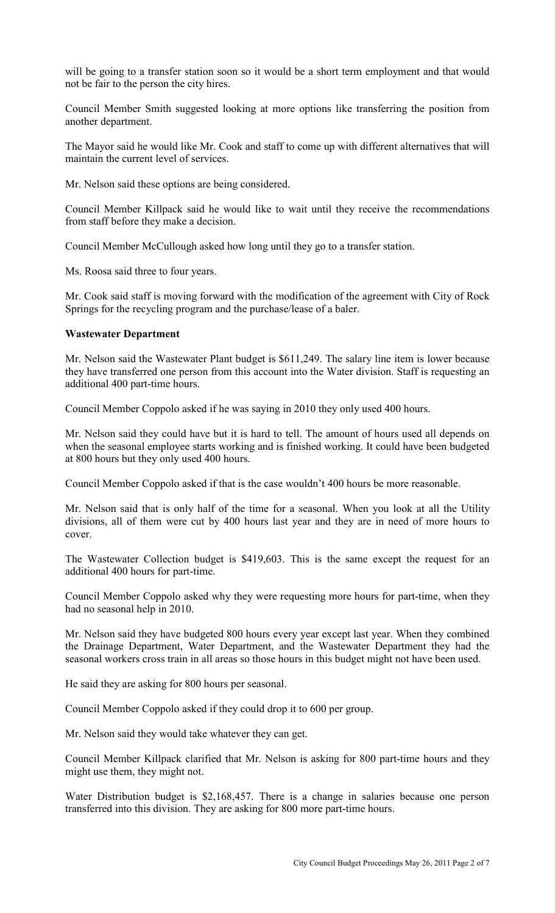will be going to a transfer station soon so it would be a short term employment and that would not be fair to the person the city hires.

Council Member Smith suggested looking at more options like transferring the position from another department.

The Mayor said he would like Mr. Cook and staff to come up with different alternatives that will maintain the current level of services.

Mr. Nelson said these options are being considered.

Council Member Killpack said he would like to wait until they receive the recommendations from staff before they make a decision.

Council Member McCullough asked how long until they go to a transfer station.

Ms. Roosa said three to four years.

Mr. Cook said staff is moving forward with the modification of the agreement with City of Rock Springs for the recycling program and the purchase/lease of a baler.

#### **Wastewater Department**

Mr. Nelson said the Wastewater Plant budget is \$611,249. The salary line item is lower because they have transferred one person from this account into the Water division. Staff is requesting an additional 400 part-time hours.

Council Member Coppolo asked if he was saying in 2010 they only used 400 hours.

Mr. Nelson said they could have but it is hard to tell. The amount of hours used all depends on when the seasonal employee starts working and is finished working. It could have been budgeted at 800 hours but they only used 400 hours.

Council Member Coppolo asked if that is the case wouldn't 400 hours be more reasonable.

Mr. Nelson said that is only half of the time for a seasonal. When you look at all the Utility divisions, all of them were cut by 400 hours last year and they are in need of more hours to cover.

The Wastewater Collection budget is \$419,603. This is the same except the request for an additional 400 hours for part-time.

Council Member Coppolo asked why they were requesting more hours for part-time, when they had no seasonal help in 2010.

Mr. Nelson said they have budgeted 800 hours every year except last year. When they combined the Drainage Department, Water Department, and the Wastewater Department they had the seasonal workers cross train in all areas so those hours in this budget might not have been used.

He said they are asking for 800 hours per seasonal.

Council Member Coppolo asked if they could drop it to 600 per group.

Mr. Nelson said they would take whatever they can get.

Council Member Killpack clarified that Mr. Nelson is asking for 800 part-time hours and they might use them, they might not.

Water Distribution budget is \$2,168,457. There is a change in salaries because one person transferred into this division. They are asking for 800 more part-time hours.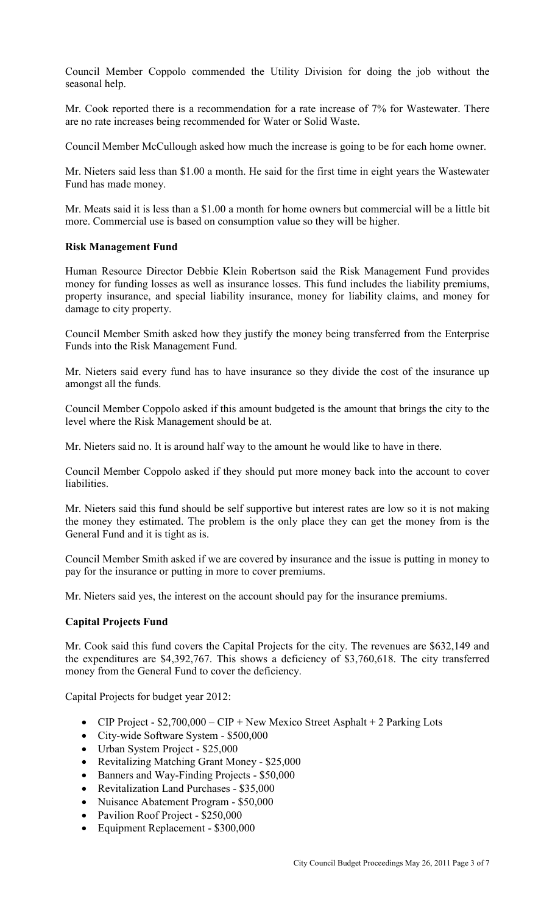Council Member Coppolo commended the Utility Division for doing the job without the seasonal help.

Mr. Cook reported there is a recommendation for a rate increase of 7% for Wastewater. There are no rate increases being recommended for Water or Solid Waste.

Council Member McCullough asked how much the increase is going to be for each home owner.

Mr. Nieters said less than \$1.00 a month. He said for the first time in eight years the Wastewater Fund has made money.

Mr. Meats said it is less than a \$1.00 a month for home owners but commercial will be a little bit more. Commercial use is based on consumption value so they will be higher.

## **Risk Management Fund**

Human Resource Director Debbie Klein Robertson said the Risk Management Fund provides money for funding losses as well as insurance losses. This fund includes the liability premiums, property insurance, and special liability insurance, money for liability claims, and money for damage to city property.

Council Member Smith asked how they justify the money being transferred from the Enterprise Funds into the Risk Management Fund.

Mr. Nieters said every fund has to have insurance so they divide the cost of the insurance up amongst all the funds.

Council Member Coppolo asked if this amount budgeted is the amount that brings the city to the level where the Risk Management should be at.

Mr. Nieters said no. It is around half way to the amount he would like to have in there.

Council Member Coppolo asked if they should put more money back into the account to cover liabilities.

Mr. Nieters said this fund should be self supportive but interest rates are low so it is not making the money they estimated. The problem is the only place they can get the money from is the General Fund and it is tight as is.

Council Member Smith asked if we are covered by insurance and the issue is putting in money to pay for the insurance or putting in more to cover premiums.

Mr. Nieters said yes, the interest on the account should pay for the insurance premiums.

# **Capital Projects Fund**

Mr. Cook said this fund covers the Capital Projects for the city. The revenues are \$632,149 and the expenditures are \$4,392,767. This shows a deficiency of \$3,760,618. The city transferred money from the General Fund to cover the deficiency.

Capital Projects for budget year 2012:

- CIP Project  $$2,700,000 CIP + New Mexico Street Asphalt + 2 Parking Lots$
- City-wide Software System \$500,000
- Urban System Project \$25,000
- Revitalizing Matching Grant Money \$25,000
- Banners and Way-Finding Projects \$50,000
- Revitalization Land Purchases \$35,000
- Nuisance Abatement Program \$50,000
- Pavilion Roof Project \$250,000
- Equipment Replacement \$300,000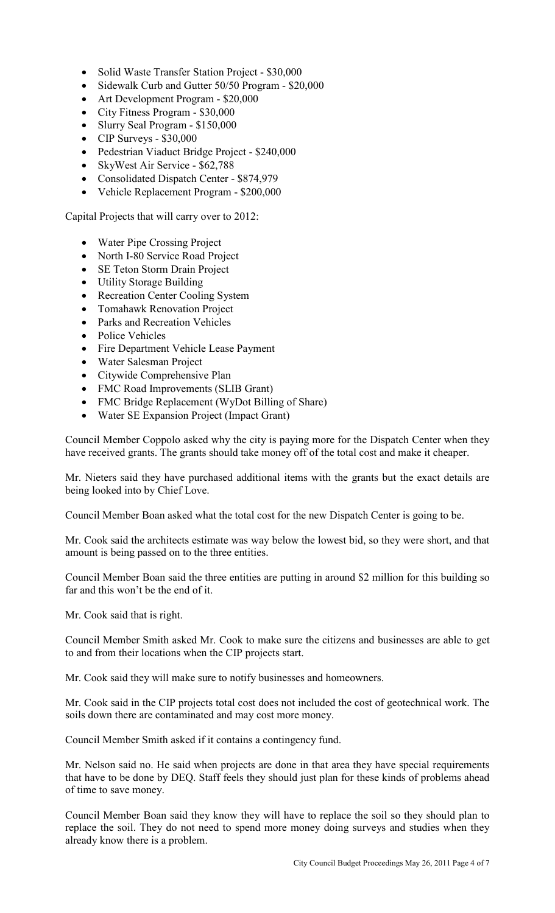- Solid Waste Transfer Station Project \$30,000
- Sidewalk Curb and Gutter 50/50 Program \$20,000
- Art Development Program \$20,000
- City Fitness Program \$30,000
- Slurry Seal Program \$150,000
- CIP Surveys \$30,000
- Pedestrian Viaduct Bridge Project \$240,000
- SkyWest Air Service \$62,788
- Consolidated Dispatch Center \$874,979
- Vehicle Replacement Program \$200,000

Capital Projects that will carry over to 2012:

- Water Pipe Crossing Project
- North I-80 Service Road Project
- SE Teton Storm Drain Project
- Utility Storage Building
- Recreation Center Cooling System
- Tomahawk Renovation Project
- Parks and Recreation Vehicles
- Police Vehicles
- Fire Department Vehicle Lease Payment
- Water Salesman Project
- Citywide Comprehensive Plan
- FMC Road Improvements (SLIB Grant)
- FMC Bridge Replacement (WyDot Billing of Share)
- Water SE Expansion Project (Impact Grant)

Council Member Coppolo asked why the city is paying more for the Dispatch Center when they have received grants. The grants should take money off of the total cost and make it cheaper.

Mr. Nieters said they have purchased additional items with the grants but the exact details are being looked into by Chief Love.

Council Member Boan asked what the total cost for the new Dispatch Center is going to be.

Mr. Cook said the architects estimate was way below the lowest bid, so they were short, and that amount is being passed on to the three entities.

Council Member Boan said the three entities are putting in around \$2 million for this building so far and this won't be the end of it.

Mr. Cook said that is right.

Council Member Smith asked Mr. Cook to make sure the citizens and businesses are able to get to and from their locations when the CIP projects start.

Mr. Cook said they will make sure to notify businesses and homeowners.

Mr. Cook said in the CIP projects total cost does not included the cost of geotechnical work. The soils down there are contaminated and may cost more money.

Council Member Smith asked if it contains a contingency fund.

Mr. Nelson said no. He said when projects are done in that area they have special requirements that have to be done by DEQ. Staff feels they should just plan for these kinds of problems ahead of time to save money.

Council Member Boan said they know they will have to replace the soil so they should plan to replace the soil. They do not need to spend more money doing surveys and studies when they already know there is a problem.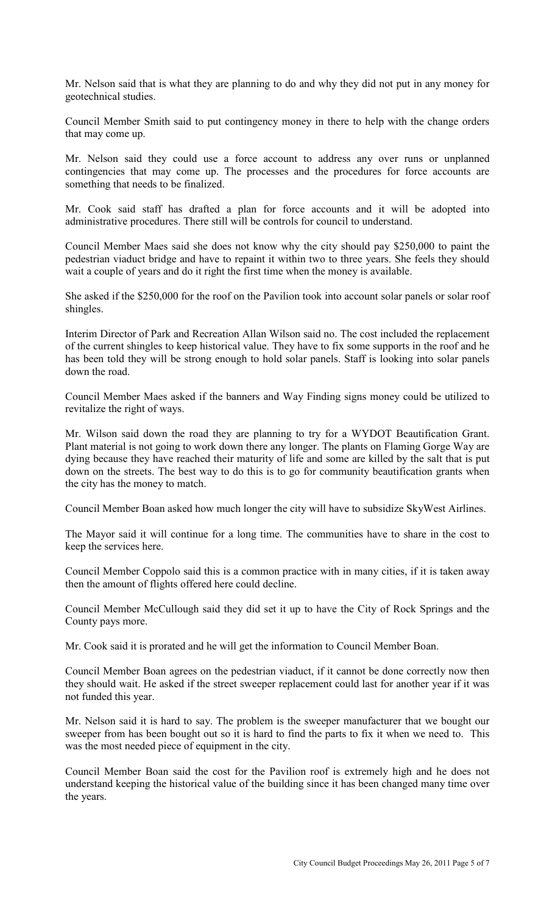Mr. Nelson said that is what they are planning to do and why they did not put in any money for geotechnical studies.

Council Member Smith said to put contingency money in there to help with the change orders that may come up.

Mr. Nelson said they could use a force account to address any over runs or unplanned contingencies that may come up. The processes and the procedures for force accounts are something that needs to be finalized.

Mr. Cook said staff has drafted a plan for force accounts and it will be adopted into administrative procedures. There still will be controls for council to understand.

Council Member Maes said she does not know why the city should pay \$250,000 to paint the pedestrian viaduct bridge and have to repaint it within two to three years. She feels they should wait a couple of years and do it right the first time when the money is available.

She asked if the \$250,000 for the roof on the Pavilion took into account solar panels or solar roof shingles.

Interim Director of Park and Recreation Allan Wilson said no. The cost included the replacement of the current shingles to keep historical value. They have to fix some supports in the roof and he has been told they will be strong enough to hold solar panels. Staff is looking into solar panels down the road.

Council Member Maes asked if the banners and Way Finding signs money could be utilized to revitalize the right of ways.

Mr. Wilson said down the road they are planning to try for a WYDOT Beautification Grant. Plant material is not going to work down there any longer. The plants on Flaming Gorge Way are dying because they have reached their maturity of life and some are killed by the salt that is put down on the streets. The best way to do this is to go for community beautification grants when the city has the money to match.

Council Member Boan asked how much longer the city will have to subsidize SkyWest Airlines.

The Mayor said it will continue for a long time. The communities have to share in the cost to keep the services here.

Council Member Coppolo said this is a common practice with in many cities, if it is taken away then the amount of flights offered here could decline.

Council Member McCullough said they did set it up to have the City of Rock Springs and the County pays more.

Mr. Cook said it is prorated and he will get the information to Council Member Boan.

Council Member Boan agrees on the pedestrian viaduct, if it cannot be done correctly now then they should wait. He asked if the street sweeper replacement could last for another year if it was not funded this year.

Mr. Nelson said it is hard to say. The problem is the sweeper manufacturer that we bought our sweeper from has been bought out so it is hard to find the parts to fix it when we need to. This was the most needed piece of equipment in the city.

Council Member Boan said the cost for the Pavilion roof is extremely high and he does not understand keeping the historical value of the building since it has been changed many time over the years.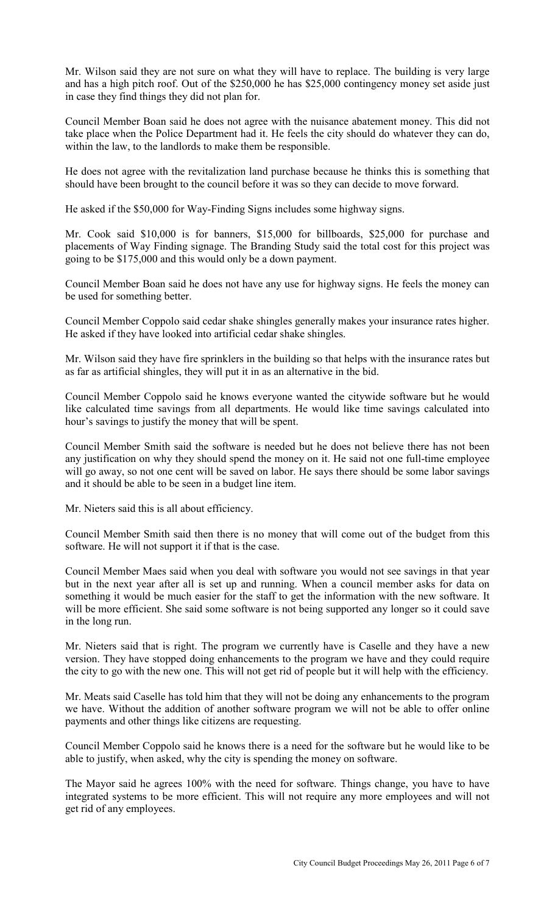Mr. Wilson said they are not sure on what they will have to replace. The building is very large and has a high pitch roof. Out of the \$250,000 he has \$25,000 contingency money set aside just in case they find things they did not plan for.

Council Member Boan said he does not agree with the nuisance abatement money. This did not take place when the Police Department had it. He feels the city should do whatever they can do, within the law, to the landlords to make them be responsible.

He does not agree with the revitalization land purchase because he thinks this is something that should have been brought to the council before it was so they can decide to move forward.

He asked if the \$50,000 for Way-Finding Signs includes some highway signs.

Mr. Cook said \$10,000 is for banners, \$15,000 for billboards, \$25,000 for purchase and placements of Way Finding signage. The Branding Study said the total cost for this project was going to be \$175,000 and this would only be a down payment.

Council Member Boan said he does not have any use for highway signs. He feels the money can be used for something better.

Council Member Coppolo said cedar shake shingles generally makes your insurance rates higher. He asked if they have looked into artificial cedar shake shingles.

Mr. Wilson said they have fire sprinklers in the building so that helps with the insurance rates but as far as artificial shingles, they will put it in as an alternative in the bid.

Council Member Coppolo said he knows everyone wanted the citywide software but he would like calculated time savings from all departments. He would like time savings calculated into hour's savings to justify the money that will be spent.

Council Member Smith said the software is needed but he does not believe there has not been any justification on why they should spend the money on it. He said not one full-time employee will go away, so not one cent will be saved on labor. He says there should be some labor savings and it should be able to be seen in a budget line item.

Mr. Nieters said this is all about efficiency.

Council Member Smith said then there is no money that will come out of the budget from this software. He will not support it if that is the case.

Council Member Maes said when you deal with software you would not see savings in that year but in the next year after all is set up and running. When a council member asks for data on something it would be much easier for the staff to get the information with the new software. It will be more efficient. She said some software is not being supported any longer so it could save in the long run.

Mr. Nieters said that is right. The program we currently have is Caselle and they have a new version. They have stopped doing enhancements to the program we have and they could require the city to go with the new one. This will not get rid of people but it will help with the efficiency.

Mr. Meats said Caselle has told him that they will not be doing any enhancements to the program we have. Without the addition of another software program we will not be able to offer online payments and other things like citizens are requesting.

Council Member Coppolo said he knows there is a need for the software but he would like to be able to justify, when asked, why the city is spending the money on software.

The Mayor said he agrees 100% with the need for software. Things change, you have to have integrated systems to be more efficient. This will not require any more employees and will not get rid of any employees.